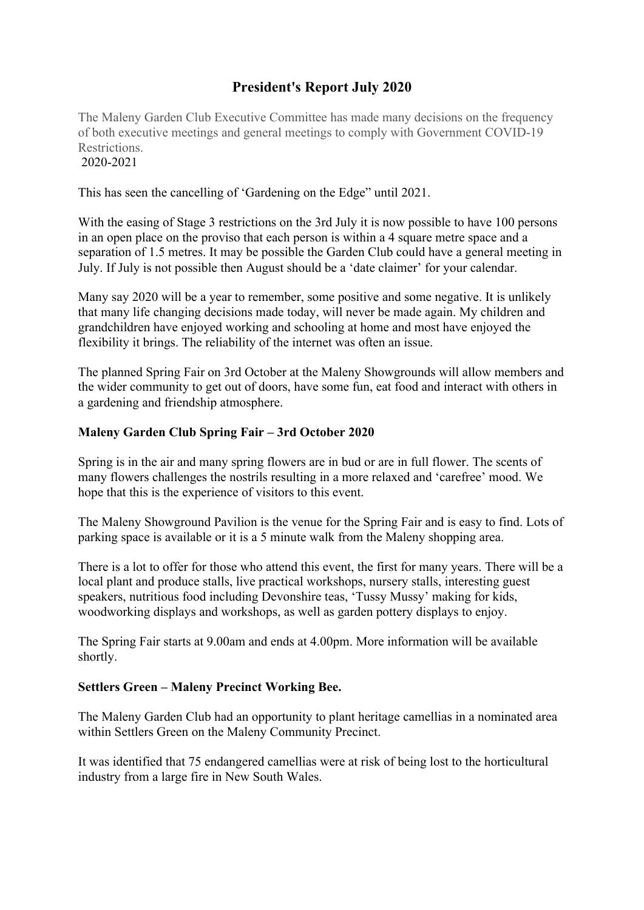## **President's Report July 2020**

The Maleny Garden Club Executive Committee has made many decisions on the frequency of both executive meetings and general meetings to comply with Government COVID-19 Restrictions. 2020-2021

This has seen the cancelling of 'Gardening on the Edge" until 2021.

With the easing of Stage 3 restrictions on the 3rd July it is now possible to have 100 persons in an open place on the proviso that each person is within a 4 square metre space and a separation of 1.5 metres. It may be possible the Garden Club could have a general meeting in July. If July is not possible then August should be a 'date claimer' for your calendar.

Many say 2020 will be a year to remember, some positive and some negative. It is unlikely that many life changing decisions made today, will never be made again. My children and grandchildren have enjoyed working and schooling at home and most have enjoyed the flexibility it brings. The reliability of the internet was often an issue.

The planned Spring Fair on 3rd October at the Maleny Showgrounds will allow members and the wider community to get out of doors, have some fun, eat food and interact with others in a gardening and friendship atmosphere.

## **Maleny Garden Club Spring Fair – 3rd October 2020**

Spring is in the air and many spring flowers are in bud or are in full flower. The scents of many flowers challenges the nostrils resulting in a more relaxed and 'carefree' mood. We hope that this is the experience of visitors to this event.

The Maleny Showground Pavilion is the venue for the Spring Fair and is easy to find. Lots of parking space is available or it is a 5 minute walk from the Maleny shopping area.

There is a lot to offer for those who attend this event, the first for many years. There will be a local plant and produce stalls, live practical workshops, nursery stalls, interesting guest speakers, nutritious food including Devonshire teas, 'Tussy Mussy' making for kids, woodworking displays and workshops, as well as garden pottery displays to enjoy.

The Spring Fair starts at 9.00am and ends at 4.00pm. More information will be available shortly.

## **Settlers Green – Maleny Precinct Working Bee.**

The Maleny Garden Club had an opportunity to plant heritage camellias in a nominated area within Settlers Green on the Maleny Community Precinct.

It was identified that 75 endangered camellias were at risk of being lost to the horticultural industry from a large fire in New South Wales.